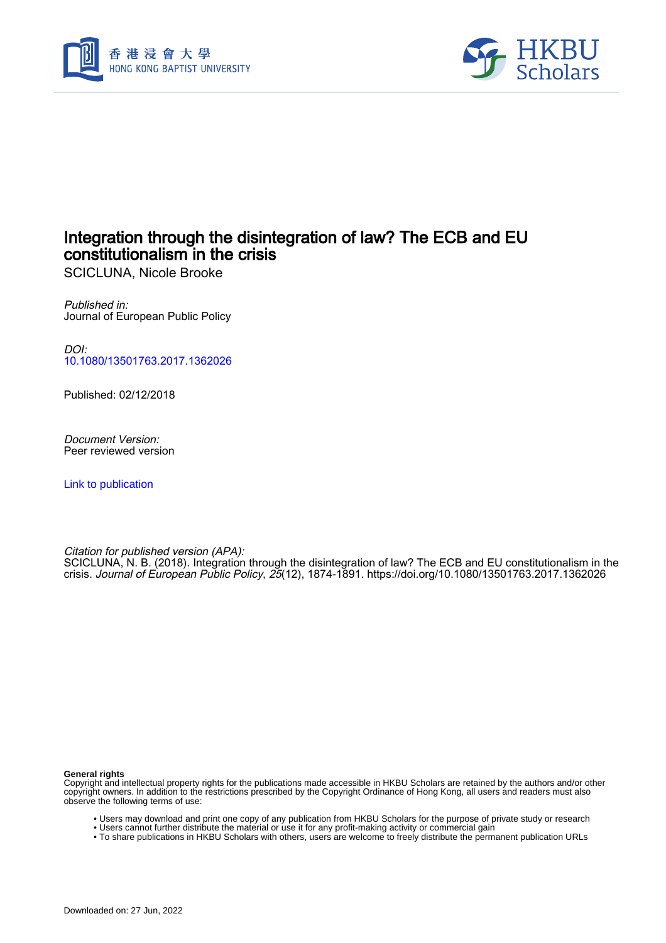



# Integration through the disintegration of law? The ECB and EU constitutionalism in the crisis

SCICLUNA, Nicole Brooke

Published in: Journal of European Public Policy

DOI: [10.1080/13501763.2017.1362026](https://doi.org/10.1080/13501763.2017.1362026)

Published: 02/12/2018

Document Version: Peer reviewed version

[Link to publication](https://scholars.hkbu.edu.hk/en/publications/6d368326-6b68-419d-9c6d-653e1b2005e4)

Citation for published version (APA):

SCICLUNA, N. B. (2018). Integration through the disintegration of law? The ECB and EU constitutionalism in the crisis. Journal of European Public Policy, 25(12), 1874-1891.<https://doi.org/10.1080/13501763.2017.1362026>

**General rights**

Copyright and intellectual property rights for the publications made accessible in HKBU Scholars are retained by the authors and/or other copyright owners. In addition to the restrictions prescribed by the Copyright Ordinance of Hong Kong, all users and readers must also observe the following terms of use:

- Users may download and print one copy of any publication from HKBU Scholars for the purpose of private study or research
- Users cannot further distribute the material or use it for any profit-making activity or commercial gain
- To share publications in HKBU Scholars with others, users are welcome to freely distribute the permanent publication URLs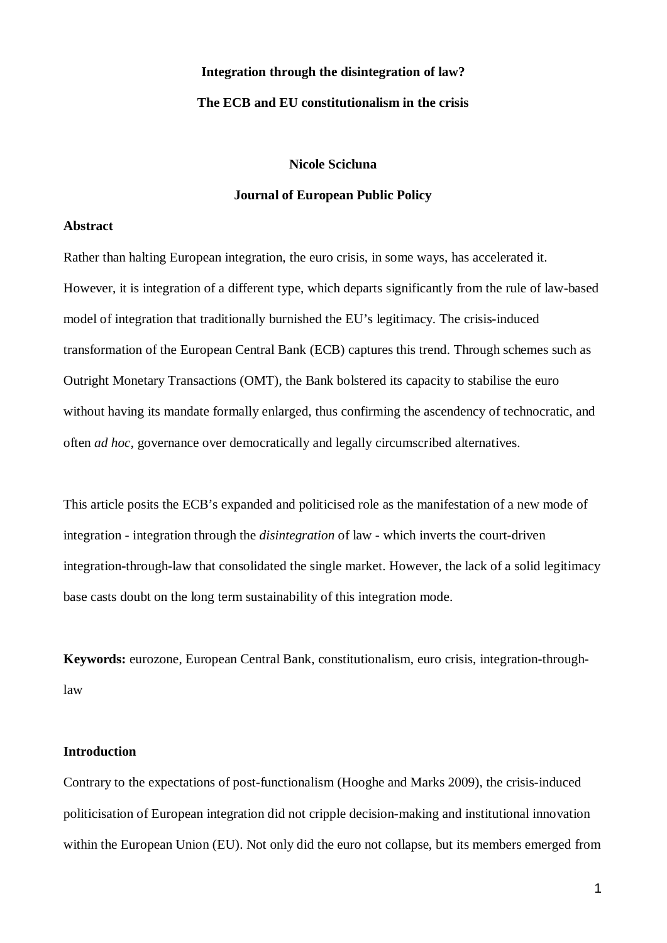# **Integration through the disintegration of law? The ECB and EU constitutionalism in the crisis**

#### **Nicole Scicluna**

#### **Journal of European Public Policy**

### **Abstract**

Rather than halting European integration, the euro crisis, in some ways, has accelerated it. However, it is integration of a different type, which departs significantly from the rule of law-based model of integration that traditionally burnished the EU's legitimacy. The crisis-induced transformation of the European Central Bank (ECB) captures this trend. Through schemes such as Outright Monetary Transactions (OMT), the Bank bolstered its capacity to stabilise the euro without having its mandate formally enlarged, thus confirming the ascendency of technocratic, and often *ad hoc*, governance over democratically and legally circumscribed alternatives.

This article posits the ECB's expanded and politicised role as the manifestation of a new mode of integration - integration through the *disintegration* of law - which inverts the court-driven integration-through-law that consolidated the single market. However, the lack of a solid legitimacy base casts doubt on the long term sustainability of this integration mode.

**Keywords:** eurozone, European Central Bank, constitutionalism, euro crisis, integration-throughlaw

#### **Introduction**

Contrary to the expectations of post-functionalism (Hooghe and Marks 2009), the crisis-induced politicisation of European integration did not cripple decision-making and institutional innovation within the European Union (EU). Not only did the euro not collapse, but its members emerged from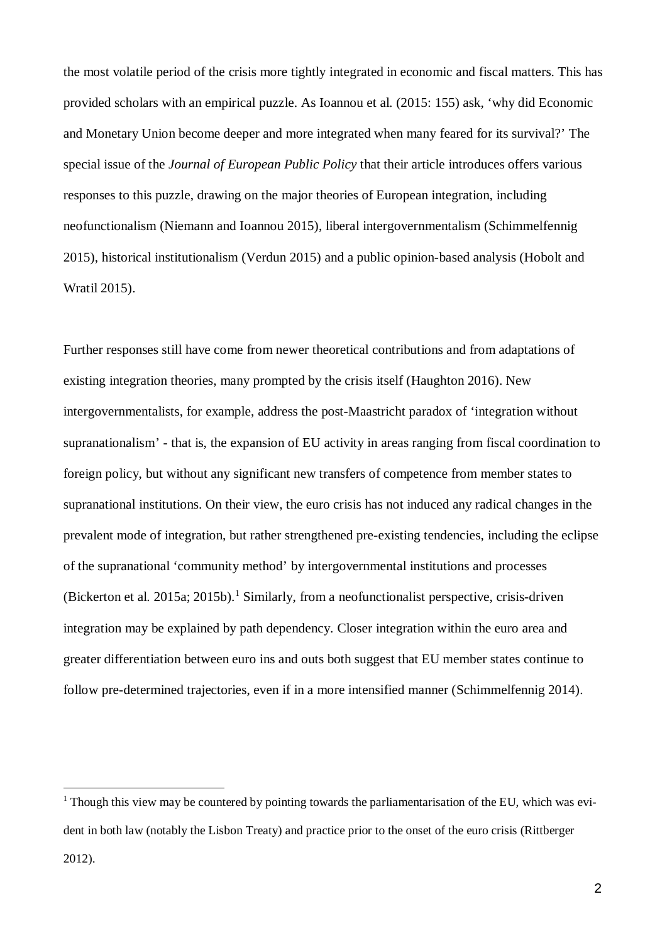the most volatile period of the crisis more tightly integrated in economic and fiscal matters. This has provided scholars with an empirical puzzle. As Ioannou et al. (2015: 155) ask, 'why did Economic and Monetary Union become deeper and more integrated when many feared for its survival?' The special issue of the *Journal of European Public Policy* that their article introduces offers various responses to this puzzle, drawing on the major theories of European integration, including neofunctionalism (Niemann and Ioannou 2015), liberal intergovernmentalism (Schimmelfennig 2015), historical institutionalism (Verdun 2015) and a public opinion-based analysis (Hobolt and Wratil 2015).

Further responses still have come from newer theoretical contributions and from adaptations of existing integration theories, many prompted by the crisis itself (Haughton 2016). New intergovernmentalists, for example, address the post-Maastricht paradox of 'integration without supranationalism' - that is, the expansion of EU activity in areas ranging from fiscal coordination to foreign policy, but without any significant new transfers of competence from member states to supranational institutions. On their view, the euro crisis has not induced any radical changes in the prevalent mode of integration, but rather strengthened pre-existing tendencies, including the eclipse of the supranational 'community method' by intergovernmental institutions and processes (Bickerton et al. 2015a; 2015b).<sup>1</sup> Similarly, from a neofunctionalist perspective, crisis-driven integration may be explained by path dependency. Closer integration within the euro area and greater differentiation between euro ins and outs both suggest that EU member states continue to follow pre-determined trajectories, even if in a more intensified manner (Schimmelfennig 2014).

 $1$  Though this view may be countered by pointing towards the parliamentarisation of the EU, which was evident in both law (notably the Lisbon Treaty) and practice prior to the onset of the euro crisis (Rittberger 2012).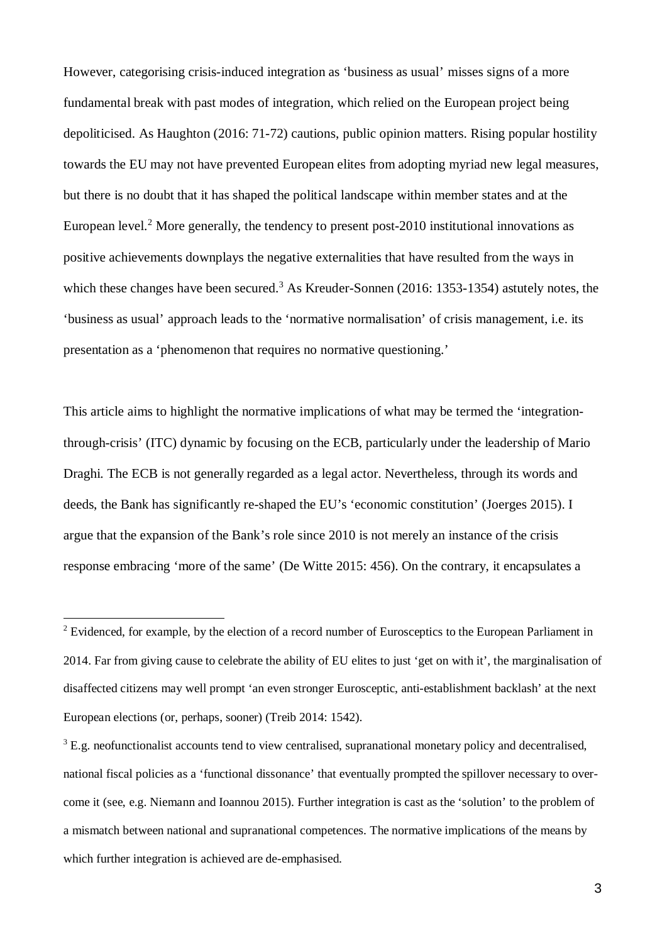However, categorising crisis-induced integration as 'business as usual' misses signs of a more fundamental break with past modes of integration, which relied on the European project being depoliticised. As Haughton (2016: 71-72) cautions, public opinion matters. Rising popular hostility towards the EU may not have prevented European elites from adopting myriad new legal measures, but there is no doubt that it has shaped the political landscape within member states and at the European level.<sup>2</sup> More generally, the tendency to present post-2010 institutional innovations as positive achievements downplays the negative externalities that have resulted from the ways in which these changes have been secured.<sup>3</sup> As Kreuder-Sonnen (2016: 1353-1354) astutely notes, the 'business as usual' approach leads to the 'normative normalisation' of crisis management, i.e. its presentation as a 'phenomenon that requires no normative questioning.'

This article aims to highlight the normative implications of what may be termed the 'integrationthrough-crisis' (ITC) dynamic by focusing on the ECB, particularly under the leadership of Mario Draghi. The ECB is not generally regarded as a legal actor. Nevertheless, through its words and deeds, the Bank has significantly re-shaped the EU's 'economic constitution' (Joerges 2015). I argue that the expansion of the Bank's role since 2010 is not merely an instance of the crisis response embracing 'more of the same' (De Witte 2015: 456). On the contrary, it encapsulates a

 $2$  Evidenced, for example, by the election of a record number of Eurosceptics to the European Parliament in 2014. Far from giving cause to celebrate the ability of EU elites to just 'get on with it', the marginalisation of disaffected citizens may well prompt 'an even stronger Eurosceptic, anti-establishment backlash' at the next European elections (or, perhaps, sooner) (Treib 2014: 1542).

 $3$  E.g. neofunctionalist accounts tend to view centralised, supranational monetary policy and decentralised, national fiscal policies as a 'functional dissonance' that eventually prompted the spillover necessary to overcome it (see, e.g. Niemann and Ioannou 2015). Further integration is cast as the 'solution' to the problem of a mismatch between national and supranational competences. The normative implications of the means by which further integration is achieved are de-emphasised.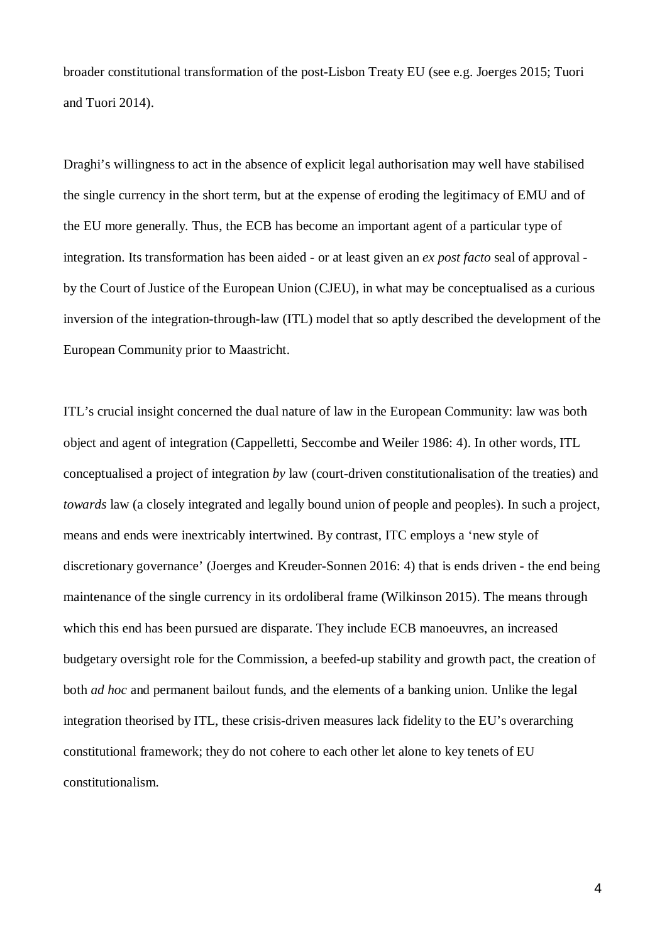broader constitutional transformation of the post-Lisbon Treaty EU (see e.g. Joerges 2015; Tuori and Tuori 2014).

Draghi's willingness to act in the absence of explicit legal authorisation may well have stabilised the single currency in the short term, but at the expense of eroding the legitimacy of EMU and of the EU more generally. Thus, the ECB has become an important agent of a particular type of integration. Its transformation has been aided - or at least given an *ex post facto* seal of approval by the Court of Justice of the European Union (CJEU), in what may be conceptualised as a curious inversion of the integration-through-law (ITL) model that so aptly described the development of the European Community prior to Maastricht.

ITL's crucial insight concerned the dual nature of law in the European Community: law was both object and agent of integration (Cappelletti, Seccombe and Weiler 1986: 4). In other words, ITL conceptualised a project of integration *by* law (court-driven constitutionalisation of the treaties) and *towards* law (a closely integrated and legally bound union of people and peoples). In such a project, means and ends were inextricably intertwined. By contrast, ITC employs a 'new style of discretionary governance' (Joerges and Kreuder-Sonnen 2016: 4) that is ends driven - the end being maintenance of the single currency in its ordoliberal frame (Wilkinson 2015). The means through which this end has been pursued are disparate. They include ECB manoeuvres, an increased budgetary oversight role for the Commission, a beefed-up stability and growth pact, the creation of both *ad hoc* and permanent bailout funds, and the elements of a banking union. Unlike the legal integration theorised by ITL, these crisis-driven measures lack fidelity to the EU's overarching constitutional framework; they do not cohere to each other let alone to key tenets of EU constitutionalism.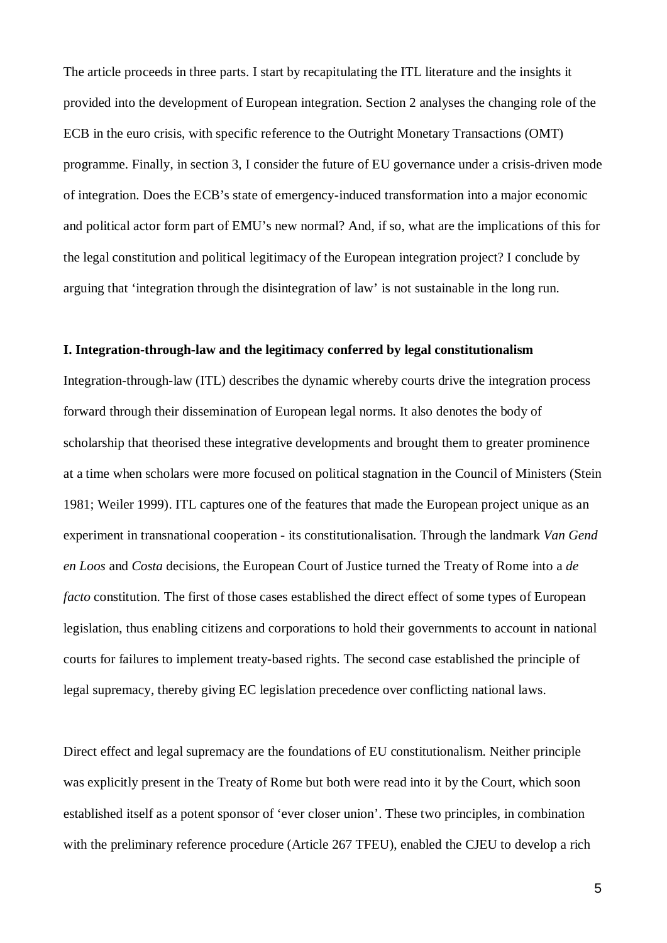The article proceeds in three parts. I start by recapitulating the ITL literature and the insights it provided into the development of European integration. Section 2 analyses the changing role of the ECB in the euro crisis, with specific reference to the Outright Monetary Transactions (OMT) programme. Finally, in section 3, I consider the future of EU governance under a crisis-driven mode of integration. Does the ECB's state of emergency-induced transformation into a major economic and political actor form part of EMU's new normal? And, if so, what are the implications of this for the legal constitution and political legitimacy of the European integration project? I conclude by arguing that 'integration through the disintegration of law' is not sustainable in the long run.

# **I. Integration-through-law and the legitimacy conferred by legal constitutionalism**

Integration-through-law (ITL) describes the dynamic whereby courts drive the integration process forward through their dissemination of European legal norms. It also denotes the body of scholarship that theorised these integrative developments and brought them to greater prominence at a time when scholars were more focused on political stagnation in the Council of Ministers (Stein 1981; Weiler 1999). ITL captures one of the features that made the European project unique as an experiment in transnational cooperation - its constitutionalisation. Through the landmark *Van Gend en Loos* and *Costa* decisions, the European Court of Justice turned the Treaty of Rome into a *de facto* constitution. The first of those cases established the direct effect of some types of European legislation, thus enabling citizens and corporations to hold their governments to account in national courts for failures to implement treaty-based rights. The second case established the principle of legal supremacy, thereby giving EC legislation precedence over conflicting national laws.

Direct effect and legal supremacy are the foundations of EU constitutionalism. Neither principle was explicitly present in the Treaty of Rome but both were read into it by the Court, which soon established itself as a potent sponsor of 'ever closer union'. These two principles, in combination with the preliminary reference procedure (Article 267 TFEU), enabled the CJEU to develop a rich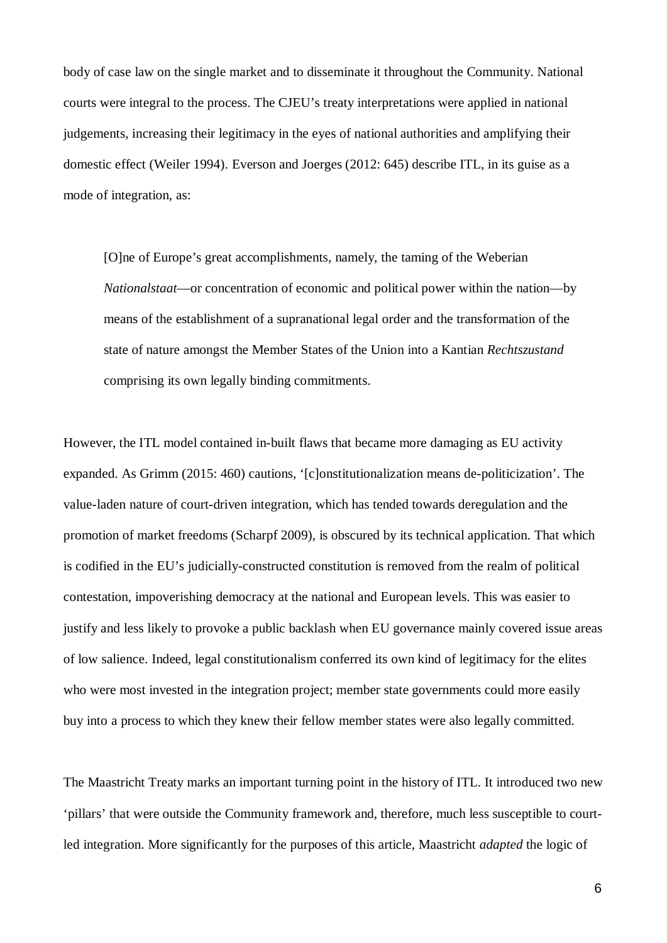body of case law on the single market and to disseminate it throughout the Community. National courts were integral to the process. The CJEU's treaty interpretations were applied in national judgements, increasing their legitimacy in the eyes of national authorities and amplifying their domestic effect (Weiler 1994). Everson and Joerges (2012: 645) describe ITL, in its guise as a mode of integration, as:

[O]ne of Europe's great accomplishments, namely, the taming of the Weberian *Nationalstaat*—or concentration of economic and political power within the nation—by means of the establishment of a supranational legal order and the transformation of the state of nature amongst the Member States of the Union into a Kantian *Rechtszustand* comprising its own legally binding commitments.

However, the ITL model contained in-built flaws that became more damaging as EU activity expanded. As Grimm (2015: 460) cautions, '[c]onstitutionalization means de-politicization'. The value-laden nature of court-driven integration, which has tended towards deregulation and the promotion of market freedoms (Scharpf 2009), is obscured by its technical application. That which is codified in the EU's judicially-constructed constitution is removed from the realm of political contestation, impoverishing democracy at the national and European levels. This was easier to justify and less likely to provoke a public backlash when EU governance mainly covered issue areas of low salience. Indeed, legal constitutionalism conferred its own kind of legitimacy for the elites who were most invested in the integration project; member state governments could more easily buy into a process to which they knew their fellow member states were also legally committed.

The Maastricht Treaty marks an important turning point in the history of ITL. It introduced two new 'pillars' that were outside the Community framework and, therefore, much less susceptible to courtled integration. More significantly for the purposes of this article, Maastricht *adapted* the logic of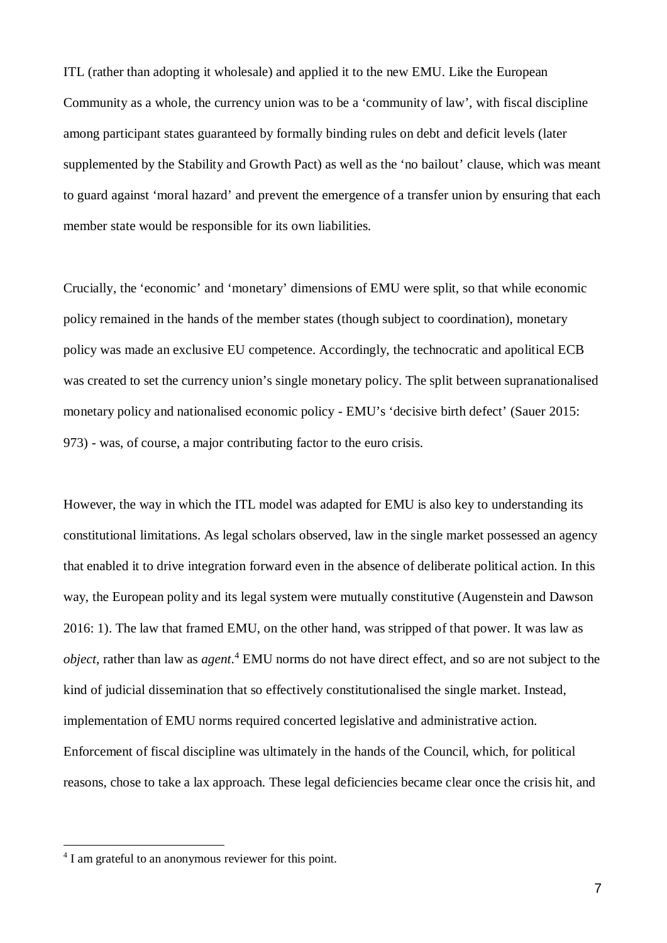ITL (rather than adopting it wholesale) and applied it to the new EMU. Like the European Community as a whole, the currency union was to be a 'community of law', with fiscal discipline among participant states guaranteed by formally binding rules on debt and deficit levels (later supplemented by the Stability and Growth Pact) as well as the 'no bailout' clause, which was meant to guard against 'moral hazard' and prevent the emergence of a transfer union by ensuring that each member state would be responsible for its own liabilities.

Crucially, the 'economic' and 'monetary' dimensions of EMU were split, so that while economic policy remained in the hands of the member states (though subject to coordination), monetary policy was made an exclusive EU competence. Accordingly, the technocratic and apolitical ECB was created to set the currency union's single monetary policy. The split between supranationalised monetary policy and nationalised economic policy - EMU's 'decisive birth defect' (Sauer 2015: 973) - was, of course, a major contributing factor to the euro crisis.

However, the way in which the ITL model was adapted for EMU is also key to understanding its constitutional limitations. As legal scholars observed, law in the single market possessed an agency that enabled it to drive integration forward even in the absence of deliberate political action. In this way, the European polity and its legal system were mutually constitutive (Augenstein and Dawson 2016: 1). The law that framed EMU, on the other hand, was stripped of that power. It was law as *object*, rather than law as *agent*. 4 EMU norms do not have direct effect, and so are not subject to the kind of judicial dissemination that so effectively constitutionalised the single market. Instead, implementation of EMU norms required concerted legislative and administrative action. Enforcement of fiscal discipline was ultimately in the hands of the Council, which, for political reasons, chose to take a lax approach. These legal deficiencies became clear once the crisis hit, and

<sup>&</sup>lt;sup>4</sup> I am grateful to an anonymous reviewer for this point.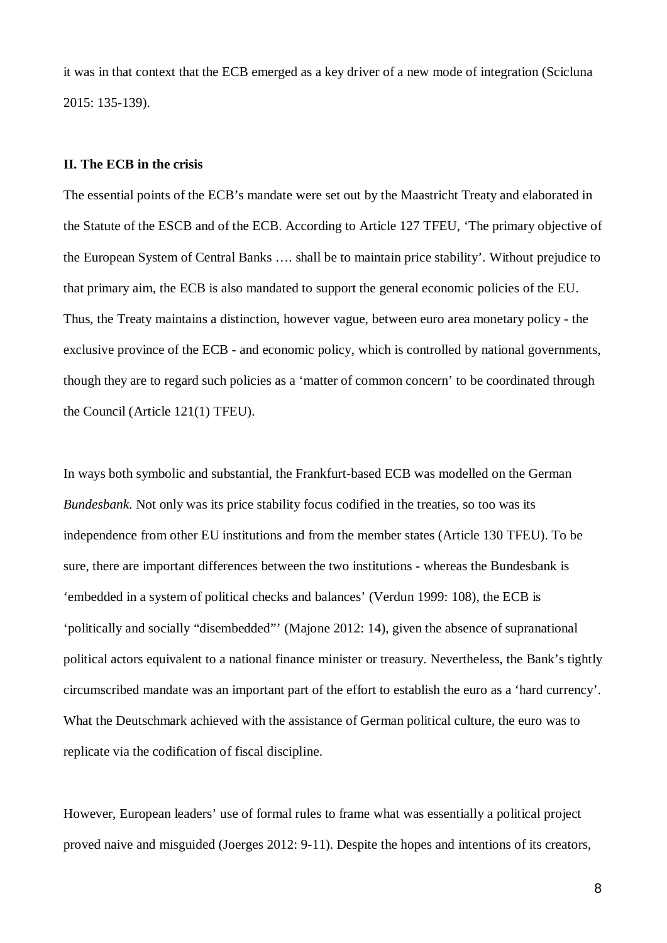it was in that context that the ECB emerged as a key driver of a new mode of integration (Scicluna 2015: 135-139).

#### **II. The ECB in the crisis**

The essential points of the ECB's mandate were set out by the Maastricht Treaty and elaborated in the Statute of the ESCB and of the ECB. According to Article 127 TFEU, 'The primary objective of the European System of Central Banks …. shall be to maintain price stability'. Without prejudice to that primary aim, the ECB is also mandated to support the general economic policies of the EU. Thus, the Treaty maintains a distinction, however vague, between euro area monetary policy - the exclusive province of the ECB - and economic policy, which is controlled by national governments, though they are to regard such policies as a 'matter of common concern' to be coordinated through the Council (Article 121(1) TFEU).

In ways both symbolic and substantial, the Frankfurt-based ECB was modelled on the German *Bundesbank*. Not only was its price stability focus codified in the treaties, so too was its independence from other EU institutions and from the member states (Article 130 TFEU). To be sure, there are important differences between the two institutions - whereas the Bundesbank is 'embedded in a system of political checks and balances' (Verdun 1999: 108), the ECB is 'politically and socially "disembedded"' (Majone 2012: 14), given the absence of supranational political actors equivalent to a national finance minister or treasury. Nevertheless, the Bank's tightly circumscribed mandate was an important part of the effort to establish the euro as a 'hard currency'. What the Deutschmark achieved with the assistance of German political culture, the euro was to replicate via the codification of fiscal discipline.

However, European leaders' use of formal rules to frame what was essentially a political project proved naive and misguided (Joerges 2012: 9-11). Despite the hopes and intentions of its creators,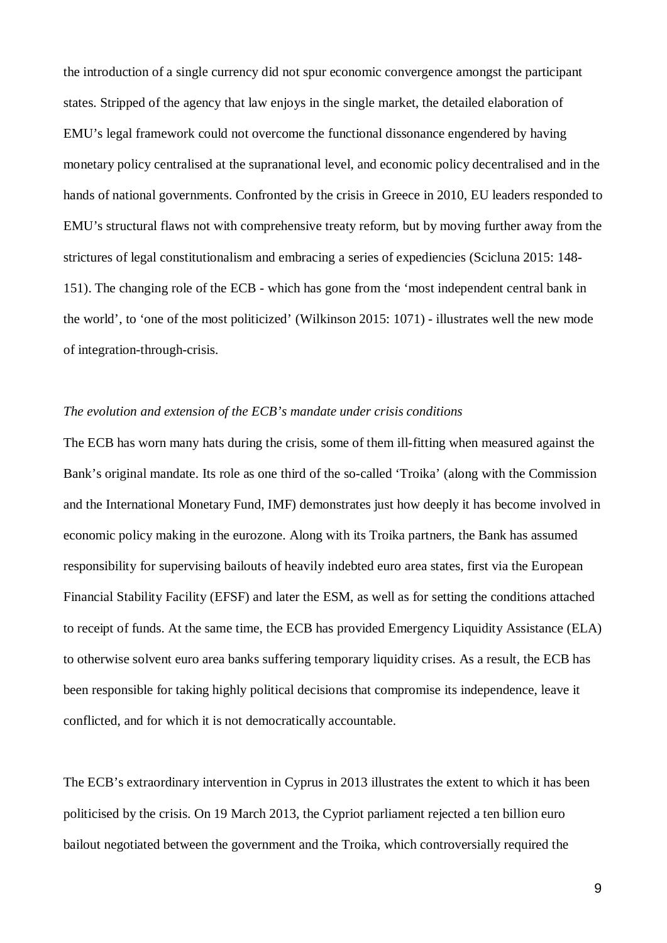the introduction of a single currency did not spur economic convergence amongst the participant states. Stripped of the agency that law enjoys in the single market, the detailed elaboration of EMU's legal framework could not overcome the functional dissonance engendered by having monetary policy centralised at the supranational level, and economic policy decentralised and in the hands of national governments. Confronted by the crisis in Greece in 2010, EU leaders responded to EMU's structural flaws not with comprehensive treaty reform, but by moving further away from the strictures of legal constitutionalism and embracing a series of expediencies (Scicluna 2015: 148- 151). The changing role of the ECB - which has gone from the 'most independent central bank in the world', to 'one of the most politicized' (Wilkinson 2015: 1071) - illustrates well the new mode of integration-through-crisis.

# *The evolution and extension of the ECB's mandate under crisis conditions*

The ECB has worn many hats during the crisis, some of them ill-fitting when measured against the Bank's original mandate. Its role as one third of the so-called 'Troika' (along with the Commission and the International Monetary Fund, IMF) demonstrates just how deeply it has become involved in economic policy making in the eurozone. Along with its Troika partners, the Bank has assumed responsibility for supervising bailouts of heavily indebted euro area states, first via the European Financial Stability Facility (EFSF) and later the ESM, as well as for setting the conditions attached to receipt of funds. At the same time, the ECB has provided Emergency Liquidity Assistance (ELA) to otherwise solvent euro area banks suffering temporary liquidity crises. As a result, the ECB has been responsible for taking highly political decisions that compromise its independence, leave it conflicted, and for which it is not democratically accountable.

The ECB's extraordinary intervention in Cyprus in 2013 illustrates the extent to which it has been politicised by the crisis. On 19 March 2013, the Cypriot parliament rejected a ten billion euro bailout negotiated between the government and the Troika, which controversially required the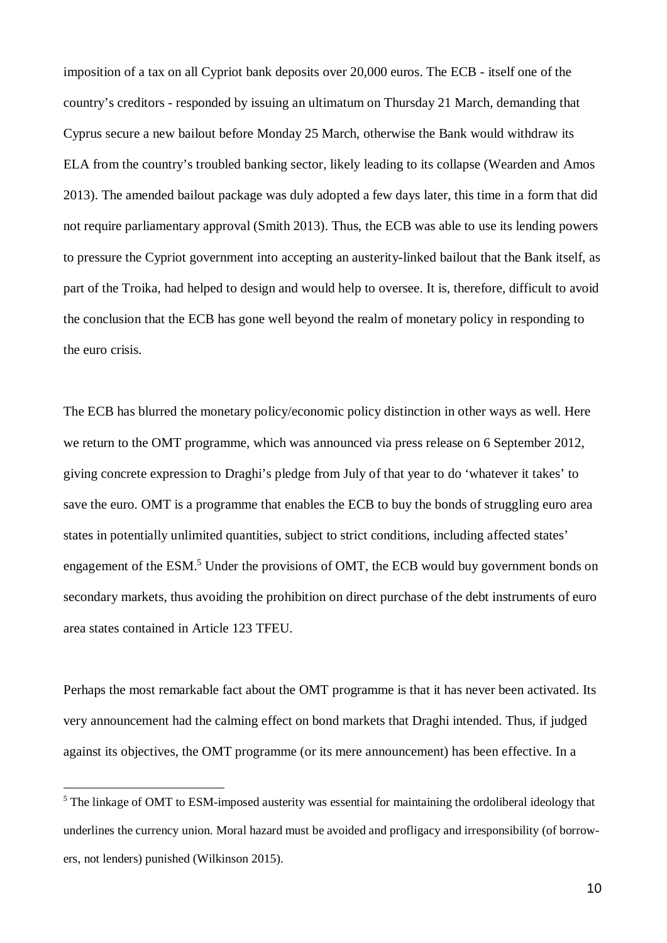imposition of a tax on all Cypriot bank deposits over 20,000 euros. The ECB - itself one of the country's creditors - responded by issuing an ultimatum on Thursday 21 March, demanding that Cyprus secure a new bailout before Monday 25 March, otherwise the Bank would withdraw its ELA from the country's troubled banking sector, likely leading to its collapse (Wearden and Amos 2013). The amended bailout package was duly adopted a few days later, this time in a form that did not require parliamentary approval (Smith 2013). Thus, the ECB was able to use its lending powers to pressure the Cypriot government into accepting an austerity-linked bailout that the Bank itself, as part of the Troika, had helped to design and would help to oversee. It is, therefore, difficult to avoid the conclusion that the ECB has gone well beyond the realm of monetary policy in responding to the euro crisis.

The ECB has blurred the monetary policy/economic policy distinction in other ways as well. Here we return to the OMT programme, which was announced via press release on 6 September 2012, giving concrete expression to Draghi's pledge from July of that year to do 'whatever it takes' to save the euro. OMT is a programme that enables the ECB to buy the bonds of struggling euro area states in potentially unlimited quantities, subject to strict conditions, including affected states' engagement of the ESM.<sup>5</sup> Under the provisions of OMT, the ECB would buy government bonds on secondary markets, thus avoiding the prohibition on direct purchase of the debt instruments of euro area states contained in Article 123 TFEU.

Perhaps the most remarkable fact about the OMT programme is that it has never been activated. Its very announcement had the calming effect on bond markets that Draghi intended. Thus, if judged against its objectives, the OMT programme (or its mere announcement) has been effective. In a

<sup>&</sup>lt;sup>5</sup> The linkage of OMT to ESM-imposed austerity was essential for maintaining the ordoliberal ideology that underlines the currency union. Moral hazard must be avoided and profligacy and irresponsibility (of borrowers, not lenders) punished (Wilkinson 2015).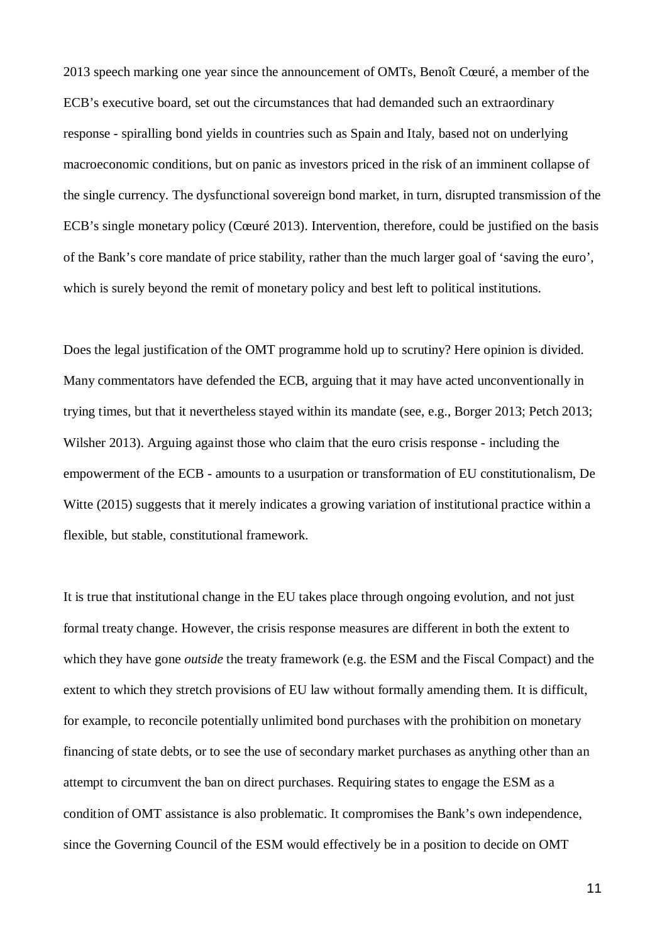2013 speech marking one year since the announcement of OMTs, Benoît Cœuré, a member of the ECB's executive board, set out the circumstances that had demanded such an extraordinary response - spiralling bond yields in countries such as Spain and Italy, based not on underlying macroeconomic conditions, but on panic as investors priced in the risk of an imminent collapse of the single currency. The dysfunctional sovereign bond market, in turn, disrupted transmission of the ECB's single monetary policy (Cœuré 2013). Intervention, therefore, could be justified on the basis of the Bank's core mandate of price stability, rather than the much larger goal of 'saving the euro', which is surely beyond the remit of monetary policy and best left to political institutions.

Does the legal justification of the OMT programme hold up to scrutiny? Here opinion is divided. Many commentators have defended the ECB, arguing that it may have acted unconventionally in trying times, but that it nevertheless stayed within its mandate (see, e.g., Borger 2013; Petch 2013; Wilsher 2013). Arguing against those who claim that the euro crisis response - including the empowerment of the ECB - amounts to a usurpation or transformation of EU constitutionalism, De Witte (2015) suggests that it merely indicates a growing variation of institutional practice within a flexible, but stable, constitutional framework.

It is true that institutional change in the EU takes place through ongoing evolution, and not just formal treaty change. However, the crisis response measures are different in both the extent to which they have gone *outside* the treaty framework (e.g. the ESM and the Fiscal Compact) and the extent to which they stretch provisions of EU law without formally amending them. It is difficult, for example, to reconcile potentially unlimited bond purchases with the prohibition on monetary financing of state debts, or to see the use of secondary market purchases as anything other than an attempt to circumvent the ban on direct purchases. Requiring states to engage the ESM as a condition of OMT assistance is also problematic. It compromises the Bank's own independence, since the Governing Council of the ESM would effectively be in a position to decide on OMT

11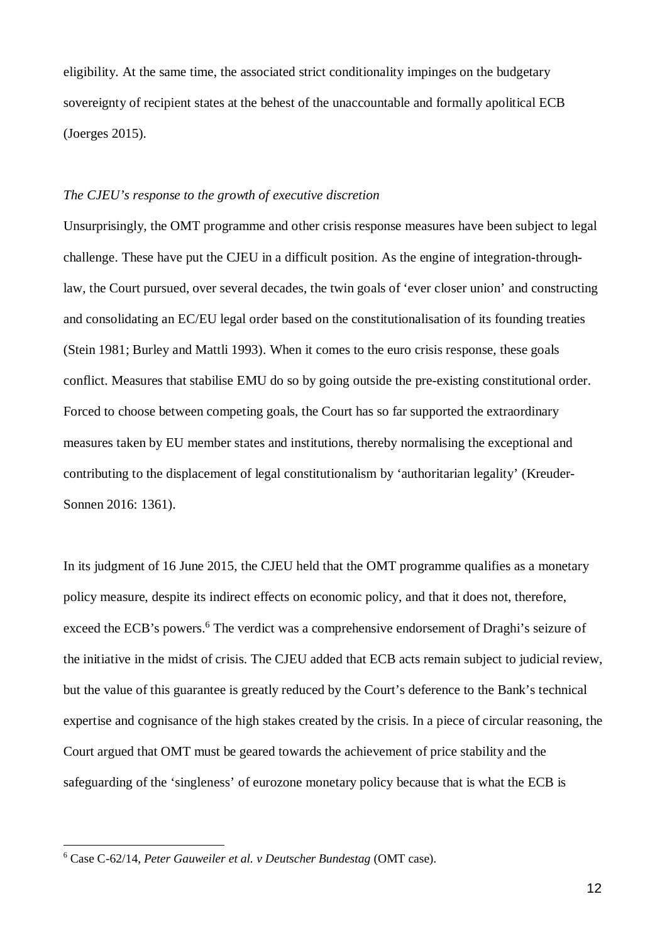eligibility. At the same time, the associated strict conditionality impinges on the budgetary sovereignty of recipient states at the behest of the unaccountable and formally apolitical ECB (Joerges 2015).

# *The CJEU's response to the growth of executive discretion*

Unsurprisingly, the OMT programme and other crisis response measures have been subject to legal challenge. These have put the CJEU in a difficult position. As the engine of integration-throughlaw, the Court pursued, over several decades, the twin goals of 'ever closer union' and constructing and consolidating an EC/EU legal order based on the constitutionalisation of its founding treaties (Stein 1981; Burley and Mattli 1993). When it comes to the euro crisis response, these goals conflict. Measures that stabilise EMU do so by going outside the pre-existing constitutional order. Forced to choose between competing goals, the Court has so far supported the extraordinary measures taken by EU member states and institutions, thereby normalising the exceptional and contributing to the displacement of legal constitutionalism by 'authoritarian legality' (Kreuder-Sonnen 2016: 1361).

In its judgment of 16 June 2015, the CJEU held that the OMT programme qualifies as a monetary policy measure, despite its indirect effects on economic policy, and that it does not, therefore, exceed the ECB's powers.<sup>6</sup> The verdict was a comprehensive endorsement of Draghi's seizure of the initiative in the midst of crisis. The CJEU added that ECB acts remain subject to judicial review, but the value of this guarantee is greatly reduced by the Court's deference to the Bank's technical expertise and cognisance of the high stakes created by the crisis. In a piece of circular reasoning, the Court argued that OMT must be geared towards the achievement of price stability and the safeguarding of the 'singleness' of eurozone monetary policy because that is what the ECB is

<sup>6</sup> Case C-62/14, *Peter Gauweiler et al. v Deutscher Bundestag* (OMT case).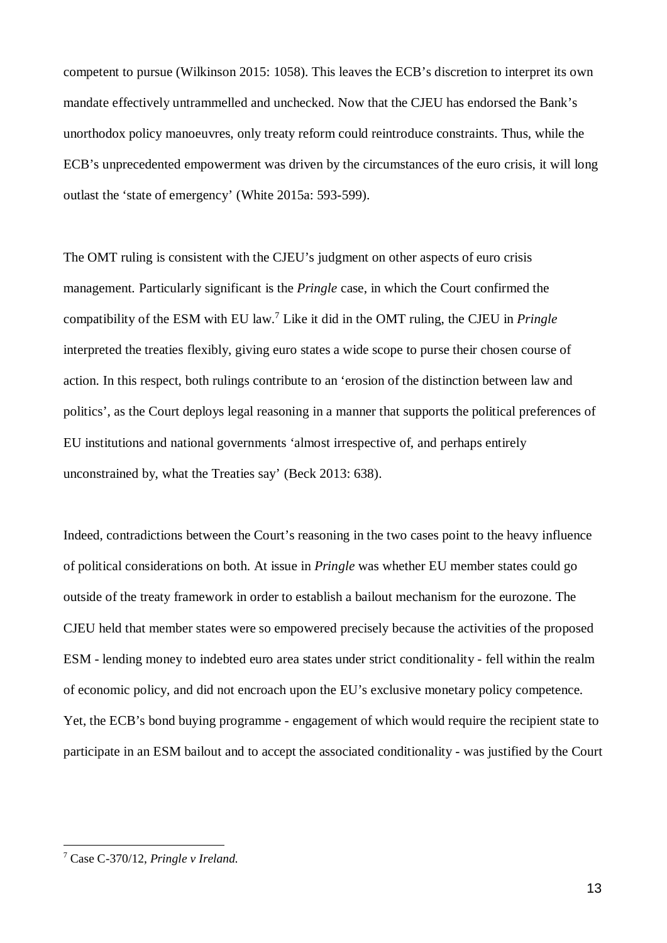competent to pursue (Wilkinson 2015: 1058). This leaves the ECB's discretion to interpret its own mandate effectively untrammelled and unchecked. Now that the CJEU has endorsed the Bank's unorthodox policy manoeuvres, only treaty reform could reintroduce constraints. Thus, while the ECB's unprecedented empowerment was driven by the circumstances of the euro crisis, it will long outlast the 'state of emergency' (White 2015a: 593-599).

The OMT ruling is consistent with the CJEU's judgment on other aspects of euro crisis management*.* Particularly significant is the *Pringle* case, in which the Court confirmed the compatibility of the ESM with EU law.<sup>7</sup> Like it did in the OMT ruling, the CJEU in *Pringle* interpreted the treaties flexibly, giving euro states a wide scope to purse their chosen course of action. In this respect, both rulings contribute to an 'erosion of the distinction between law and politics', as the Court deploys legal reasoning in a manner that supports the political preferences of EU institutions and national governments 'almost irrespective of, and perhaps entirely unconstrained by, what the Treaties say' (Beck 2013: 638).

Indeed, contradictions between the Court's reasoning in the two cases point to the heavy influence of political considerations on both. At issue in *Pringle* was whether EU member states could go outside of the treaty framework in order to establish a bailout mechanism for the eurozone. The CJEU held that member states were so empowered precisely because the activities of the proposed ESM - lending money to indebted euro area states under strict conditionality - fell within the realm of economic policy, and did not encroach upon the EU's exclusive monetary policy competence. Yet, the ECB's bond buying programme - engagement of which would require the recipient state to participate in an ESM bailout and to accept the associated conditionality - was justified by the Court

<sup>7</sup> Case C-370/12, *Pringle v Ireland*.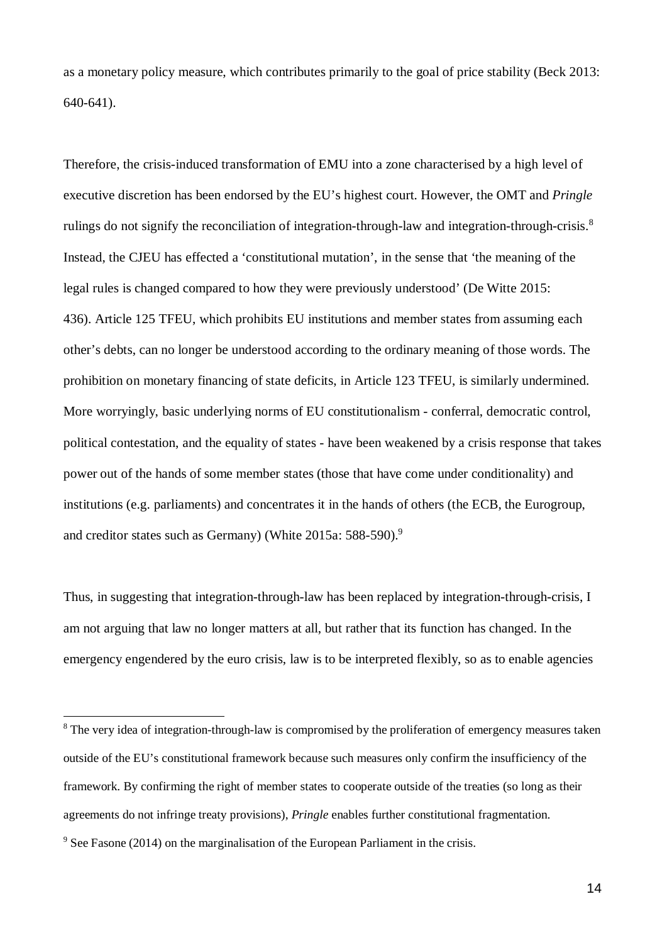as a monetary policy measure, which contributes primarily to the goal of price stability (Beck 2013: 640-641).

Therefore, the crisis-induced transformation of EMU into a zone characterised by a high level of executive discretion has been endorsed by the EU's highest court. However, the OMT and *Pringle* rulings do not signify the reconciliation of integration-through-law and integration-through-crisis.<sup>8</sup> Instead, the CJEU has effected a 'constitutional mutation', in the sense that 'the meaning of the legal rules is changed compared to how they were previously understood' (De Witte 2015: 436). Article 125 TFEU, which prohibits EU institutions and member states from assuming each other's debts, can no longer be understood according to the ordinary meaning of those words. The prohibition on monetary financing of state deficits, in Article 123 TFEU, is similarly undermined. More worryingly, basic underlying norms of EU constitutionalism - conferral, democratic control, political contestation, and the equality of states - have been weakened by a crisis response that takes power out of the hands of some member states (those that have come under conditionality) and institutions (e.g. parliaments) and concentrates it in the hands of others (the ECB, the Eurogroup, and creditor states such as Germany) (White  $2015a: 588-590$ )<sup>9</sup>

Thus, in suggesting that integration-through-law has been replaced by integration-through-crisis, I am not arguing that law no longer matters at all, but rather that its function has changed. In the emergency engendered by the euro crisis, law is to be interpreted flexibly, so as to enable agencies

<sup>&</sup>lt;sup>8</sup> The very idea of integration-through-law is compromised by the proliferation of emergency measures taken outside of the EU's constitutional framework because such measures only confirm the insufficiency of the framework. By confirming the right of member states to cooperate outside of the treaties (so long as their agreements do not infringe treaty provisions), *Pringle* enables further constitutional fragmentation.

 $9^9$  See Fasone (2014) on the marginalisation of the European Parliament in the crisis.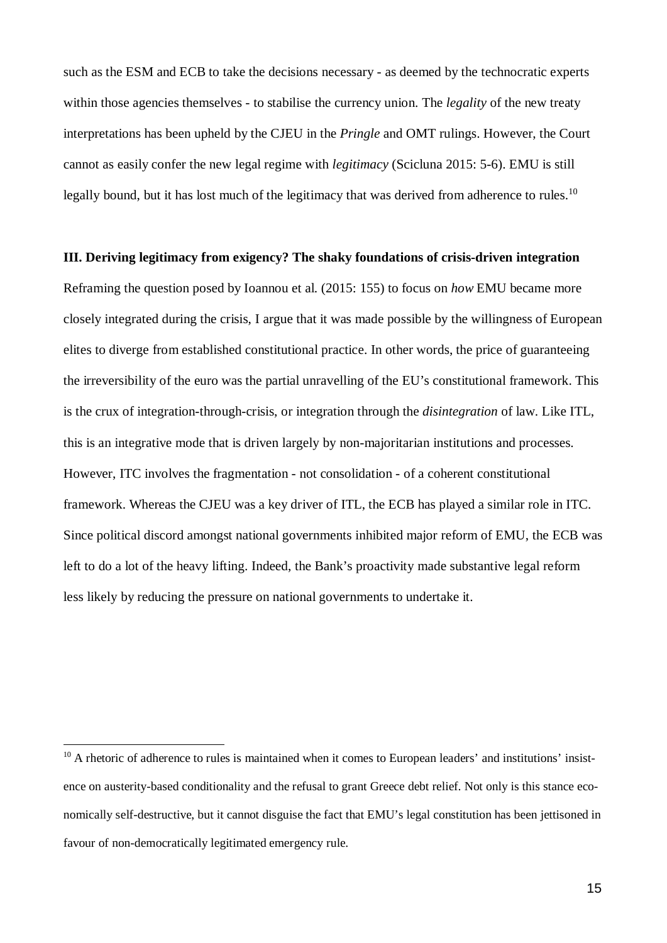such as the ESM and ECB to take the decisions necessary - as deemed by the technocratic experts within those agencies themselves - to stabilise the currency union. The *legality* of the new treaty interpretations has been upheld by the CJEU in the *Pringle* and OMT rulings. However, the Court cannot as easily confer the new legal regime with *legitimacy* (Scicluna 2015: 5-6). EMU is still legally bound, but it has lost much of the legitimacy that was derived from adherence to rules.<sup>10</sup>

# **III. Deriving legitimacy from exigency? The shaky foundations of crisis-driven integration**

Reframing the question posed by Ioannou et al. (2015: 155) to focus on *how* EMU became more closely integrated during the crisis, I argue that it was made possible by the willingness of European elites to diverge from established constitutional practice. In other words, the price of guaranteeing the irreversibility of the euro was the partial unravelling of the EU's constitutional framework. This is the crux of integration-through-crisis, or integration through the *disintegration* of law. Like ITL, this is an integrative mode that is driven largely by non-majoritarian institutions and processes. However, ITC involves the fragmentation - not consolidation - of a coherent constitutional framework. Whereas the CJEU was a key driver of ITL, the ECB has played a similar role in ITC. Since political discord amongst national governments inhibited major reform of EMU, the ECB was left to do a lot of the heavy lifting. Indeed, the Bank's proactivity made substantive legal reform less likely by reducing the pressure on national governments to undertake it.

 $10$  A rhetoric of adherence to rules is maintained when it comes to European leaders' and institutions' insistence on austerity-based conditionality and the refusal to grant Greece debt relief. Not only is this stance economically self-destructive, but it cannot disguise the fact that EMU's legal constitution has been jettisoned in favour of non-democratically legitimated emergency rule.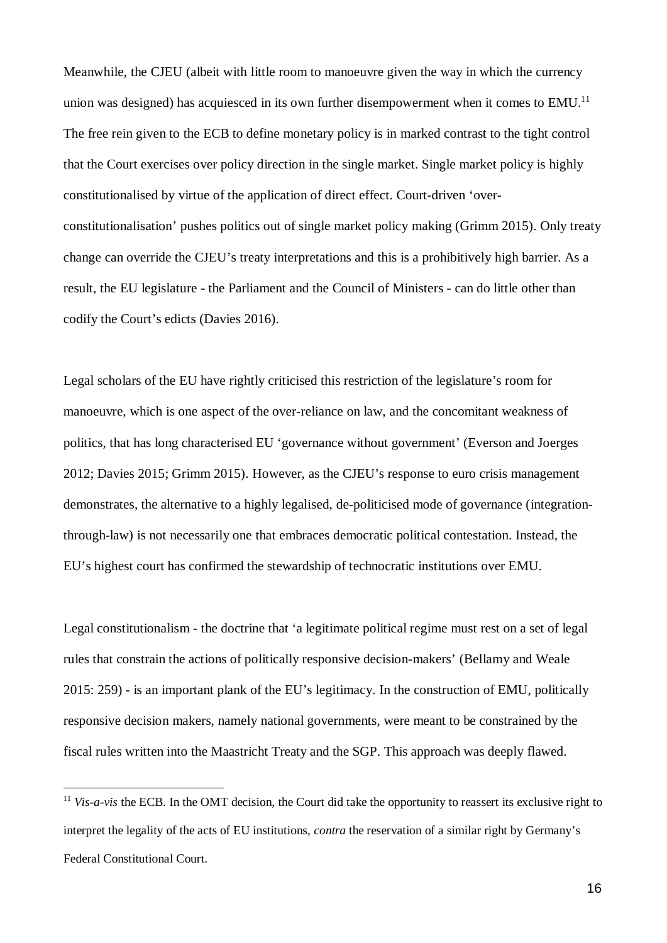Meanwhile, the CJEU (albeit with little room to manoeuvre given the way in which the currency union was designed) has acquiesced in its own further disempowerment when it comes to  $EMU<sup>11</sup>$ The free rein given to the ECB to define monetary policy is in marked contrast to the tight control that the Court exercises over policy direction in the single market. Single market policy is highly constitutionalised by virtue of the application of direct effect. Court-driven 'overconstitutionalisation' pushes politics out of single market policy making (Grimm 2015). Only treaty change can override the CJEU's treaty interpretations and this is a prohibitively high barrier. As a result, the EU legislature - the Parliament and the Council of Ministers - can do little other than codify the Court's edicts (Davies 2016).

Legal scholars of the EU have rightly criticised this restriction of the legislature's room for manoeuvre, which is one aspect of the over-reliance on law, and the concomitant weakness of politics, that has long characterised EU 'governance without government' (Everson and Joerges 2012; Davies 2015; Grimm 2015). However, as the CJEU's response to euro crisis management demonstrates, the alternative to a highly legalised, de-politicised mode of governance (integrationthrough-law) is not necessarily one that embraces democratic political contestation. Instead, the EU's highest court has confirmed the stewardship of technocratic institutions over EMU.

Legal constitutionalism - the doctrine that 'a legitimate political regime must rest on a set of legal rules that constrain the actions of politically responsive decision-makers' (Bellamy and Weale 2015: 259) - is an important plank of the EU's legitimacy. In the construction of EMU, politically responsive decision makers, namely national governments, were meant to be constrained by the fiscal rules written into the Maastricht Treaty and the SGP. This approach was deeply flawed.

<sup>&</sup>lt;sup>11</sup> *Vis-a-vis* the ECB. In the OMT decision, the Court did take the opportunity to reassert its exclusive right to interpret the legality of the acts of EU institutions, *contra* the reservation of a similar right by Germany's Federal Constitutional Court.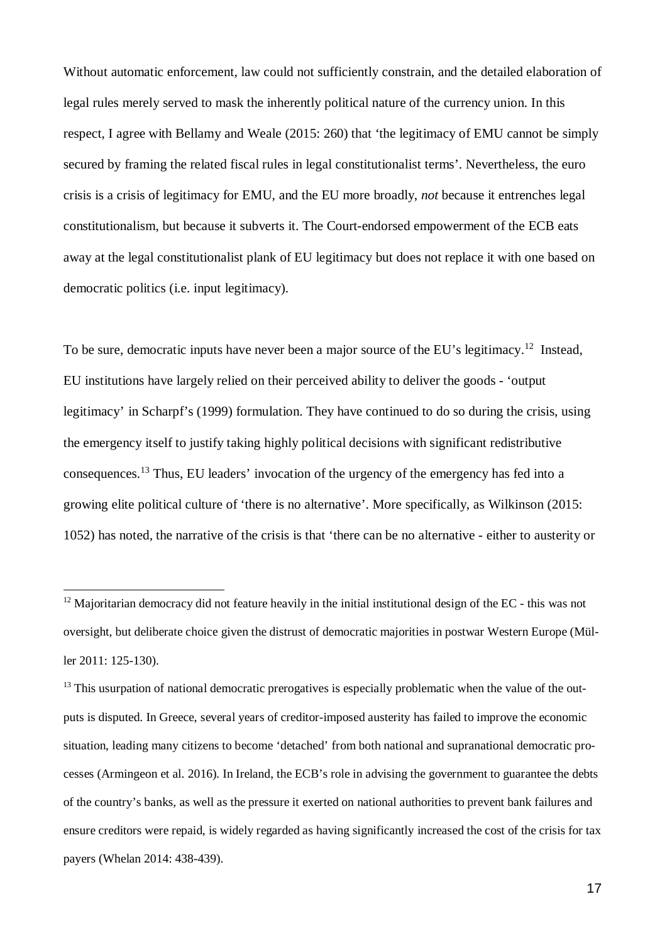Without automatic enforcement, law could not sufficiently constrain, and the detailed elaboration of legal rules merely served to mask the inherently political nature of the currency union. In this respect, I agree with Bellamy and Weale (2015: 260) that 'the legitimacy of EMU cannot be simply secured by framing the related fiscal rules in legal constitutionalist terms'. Nevertheless, the euro crisis is a crisis of legitimacy for EMU, and the EU more broadly, *not* because it entrenches legal constitutionalism, but because it subverts it. The Court-endorsed empowerment of the ECB eats away at the legal constitutionalist plank of EU legitimacy but does not replace it with one based on democratic politics (i.e. input legitimacy).

To be sure, democratic inputs have never been a major source of the EU's legitimacy.<sup>12</sup> Instead, EU institutions have largely relied on their perceived ability to deliver the goods - 'output legitimacy' in Scharpf's (1999) formulation. They have continued to do so during the crisis, using the emergency itself to justify taking highly political decisions with significant redistributive consequences.<sup>13</sup> Thus, EU leaders' invocation of the urgency of the emergency has fed into a growing elite political culture of 'there is no alternative'. More specifically, as Wilkinson (2015: 1052) has noted, the narrative of the crisis is that 'there can be no alternative - either to austerity or

 $12$  Majoritarian democracy did not feature heavily in the initial institutional design of the EC - this was not oversight, but deliberate choice given the distrust of democratic majorities in postwar Western Europe (Müller 2011: 125-130).

<sup>&</sup>lt;sup>13</sup> This usurpation of national democratic prerogatives is especially problematic when the value of the outputs is disputed. In Greece, several years of creditor-imposed austerity has failed to improve the economic situation, leading many citizens to become 'detached' from both national and supranational democratic processes (Armingeon et al. 2016). In Ireland, the ECB's role in advising the government to guarantee the debts of the country's banks, as well as the pressure it exerted on national authorities to prevent bank failures and ensure creditors were repaid, is widely regarded as having significantly increased the cost of the crisis for tax payers (Whelan 2014: 438-439).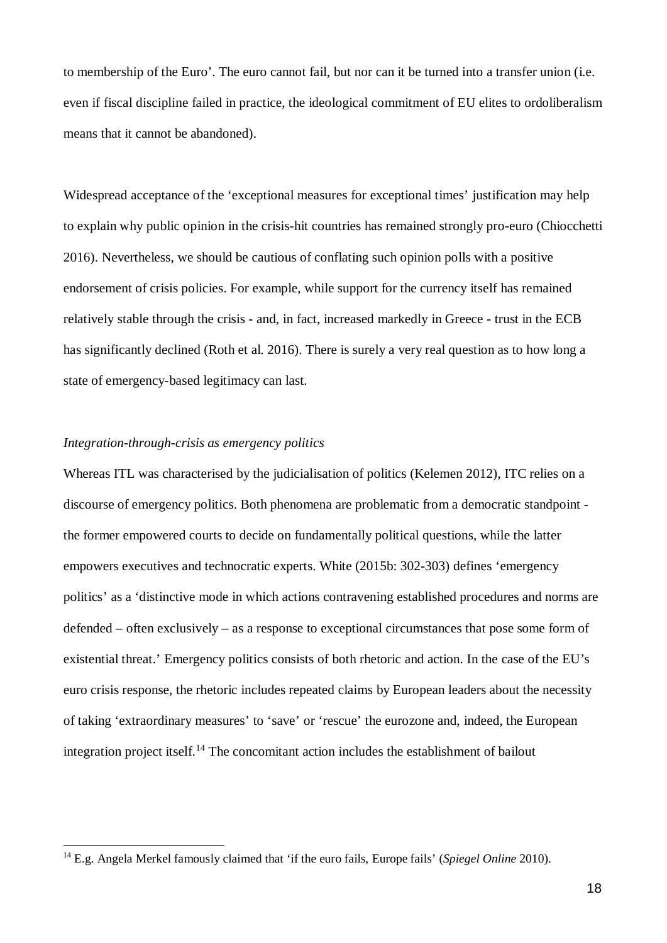to membership of the Euro'. The euro cannot fail, but nor can it be turned into a transfer union (i.e. even if fiscal discipline failed in practice, the ideological commitment of EU elites to ordoliberalism means that it cannot be abandoned).

Widespread acceptance of the 'exceptional measures for exceptional times' justification may help to explain why public opinion in the crisis-hit countries has remained strongly pro-euro (Chiocchetti 2016). Nevertheless, we should be cautious of conflating such opinion polls with a positive endorsement of crisis policies. For example, while support for the currency itself has remained relatively stable through the crisis - and, in fact, increased markedly in Greece - trust in the ECB has significantly declined (Roth et al. 2016). There is surely a very real question as to how long a state of emergency-based legitimacy can last.

# *Integration-through-crisis as emergency politics*

Whereas ITL was characterised by the judicialisation of politics (Kelemen 2012), ITC relies on a discourse of emergency politics. Both phenomena are problematic from a democratic standpoint the former empowered courts to decide on fundamentally political questions, while the latter empowers executives and technocratic experts. White (2015b: 302-303) defines 'emergency politics' as a 'distinctive mode in which actions contravening established procedures and norms are defended – often exclusively – as a response to exceptional circumstances that pose some form of existential threat.' Emergency politics consists of both rhetoric and action. In the case of the EU's euro crisis response, the rhetoric includes repeated claims by European leaders about the necessity of taking 'extraordinary measures' to 'save' or 'rescue' the eurozone and, indeed, the European integration project itself.<sup>14</sup> The concomitant action includes the establishment of bailout

<sup>&</sup>lt;sup>14</sup> E.g. Angela Merkel famously claimed that 'if the euro fails, Europe fails' (*Spiegel Online* 2010).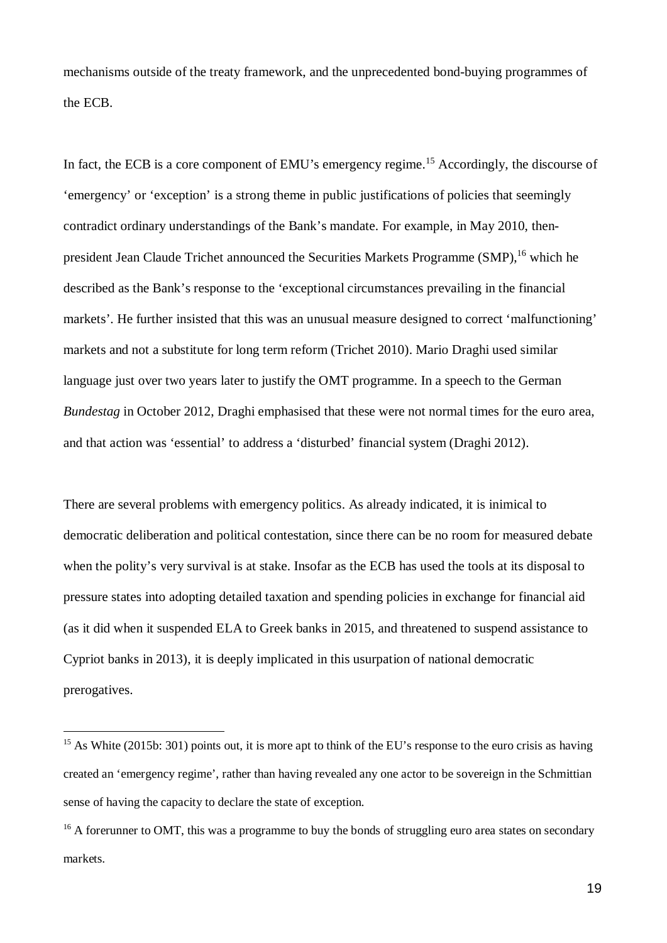mechanisms outside of the treaty framework, and the unprecedented bond-buying programmes of the ECB.

In fact, the ECB is a core component of EMU's emergency regime.<sup>15</sup> Accordingly, the discourse of 'emergency' or 'exception' is a strong theme in public justifications of policies that seemingly contradict ordinary understandings of the Bank's mandate. For example, in May 2010, thenpresident Jean Claude Trichet announced the Securities Markets Programme (SMP),<sup>16</sup> which he described as the Bank's response to the 'exceptional circumstances prevailing in the financial markets'. He further insisted that this was an unusual measure designed to correct 'malfunctioning' markets and not a substitute for long term reform (Trichet 2010). Mario Draghi used similar language just over two years later to justify the OMT programme. In a speech to the German *Bundestag* in October 2012, Draghi emphasised that these were not normal times for the euro area, and that action was 'essential' to address a 'disturbed' financial system (Draghi 2012).

There are several problems with emergency politics. As already indicated, it is inimical to democratic deliberation and political contestation, since there can be no room for measured debate when the polity's very survival is at stake. Insofar as the ECB has used the tools at its disposal to pressure states into adopting detailed taxation and spending policies in exchange for financial aid (as it did when it suspended ELA to Greek banks in 2015, and threatened to suspend assistance to Cypriot banks in 2013), it is deeply implicated in this usurpation of national democratic prerogatives.

<sup>&</sup>lt;sup>15</sup> As White (2015b: 301) points out, it is more apt to think of the EU's response to the euro crisis as having created an 'emergency regime', rather than having revealed any one actor to be sovereign in the Schmittian sense of having the capacity to declare the state of exception.

<sup>&</sup>lt;sup>16</sup> A forerunner to OMT, this was a programme to buy the bonds of struggling euro area states on secondary markets.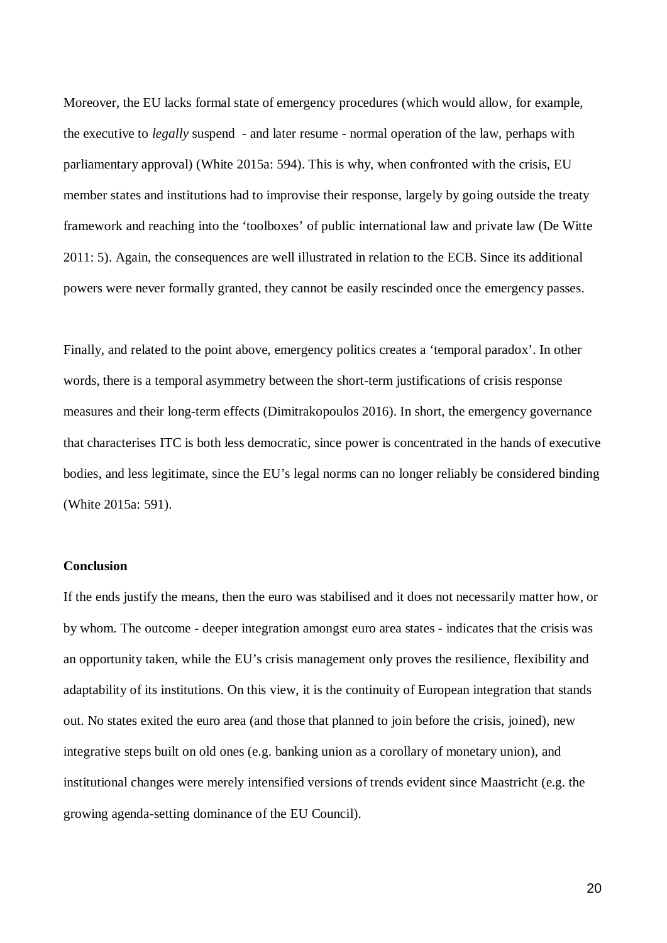Moreover, the EU lacks formal state of emergency procedures (which would allow, for example, the executive to *legally* suspend - and later resume - normal operation of the law, perhaps with parliamentary approval) (White 2015a: 594). This is why, when confronted with the crisis, EU member states and institutions had to improvise their response, largely by going outside the treaty framework and reaching into the 'toolboxes' of public international law and private law (De Witte 2011: 5). Again, the consequences are well illustrated in relation to the ECB. Since its additional powers were never formally granted, they cannot be easily rescinded once the emergency passes.

Finally, and related to the point above, emergency politics creates a 'temporal paradox'. In other words, there is a temporal asymmetry between the short-term justifications of crisis response measures and their long-term effects (Dimitrakopoulos 2016). In short, the emergency governance that characterises ITC is both less democratic, since power is concentrated in the hands of executive bodies, and less legitimate, since the EU's legal norms can no longer reliably be considered binding (White 2015a: 591).

#### **Conclusion**

If the ends justify the means, then the euro was stabilised and it does not necessarily matter how, or by whom. The outcome - deeper integration amongst euro area states - indicates that the crisis was an opportunity taken, while the EU's crisis management only proves the resilience, flexibility and adaptability of its institutions. On this view, it is the continuity of European integration that stands out. No states exited the euro area (and those that planned to join before the crisis, joined), new integrative steps built on old ones (e.g. banking union as a corollary of monetary union), and institutional changes were merely intensified versions of trends evident since Maastricht (e.g. the growing agenda-setting dominance of the EU Council).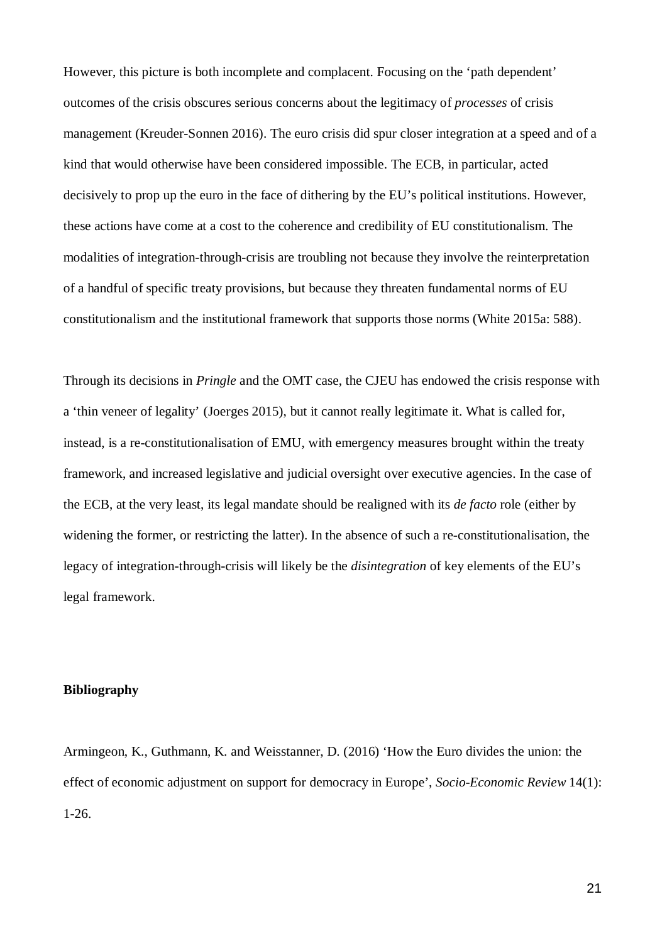However, this picture is both incomplete and complacent. Focusing on the 'path dependent' outcomes of the crisis obscures serious concerns about the legitimacy of *processes* of crisis management (Kreuder-Sonnen 2016). The euro crisis did spur closer integration at a speed and of a kind that would otherwise have been considered impossible. The ECB, in particular, acted decisively to prop up the euro in the face of dithering by the EU's political institutions. However, these actions have come at a cost to the coherence and credibility of EU constitutionalism. The modalities of integration-through-crisis are troubling not because they involve the reinterpretation of a handful of specific treaty provisions, but because they threaten fundamental norms of EU constitutionalism and the institutional framework that supports those norms (White 2015a: 588).

Through its decisions in *Pringle* and the OMT case, the CJEU has endowed the crisis response with a 'thin veneer of legality' (Joerges 2015), but it cannot really legitimate it. What is called for, instead, is a re-constitutionalisation of EMU, with emergency measures brought within the treaty framework, and increased legislative and judicial oversight over executive agencies. In the case of the ECB, at the very least, its legal mandate should be realigned with its *de facto* role (either by widening the former, or restricting the latter). In the absence of such a re-constitutionalisation, the legacy of integration-through-crisis will likely be the *disintegration* of key elements of the EU's legal framework.

#### **Bibliography**

Armingeon, K., Guthmann, K. and Weisstanner, D. (2016) 'How the Euro divides the union: the effect of economic adjustment on support for democracy in Europe', *Socio-Economic Review* 14(1): 1-26.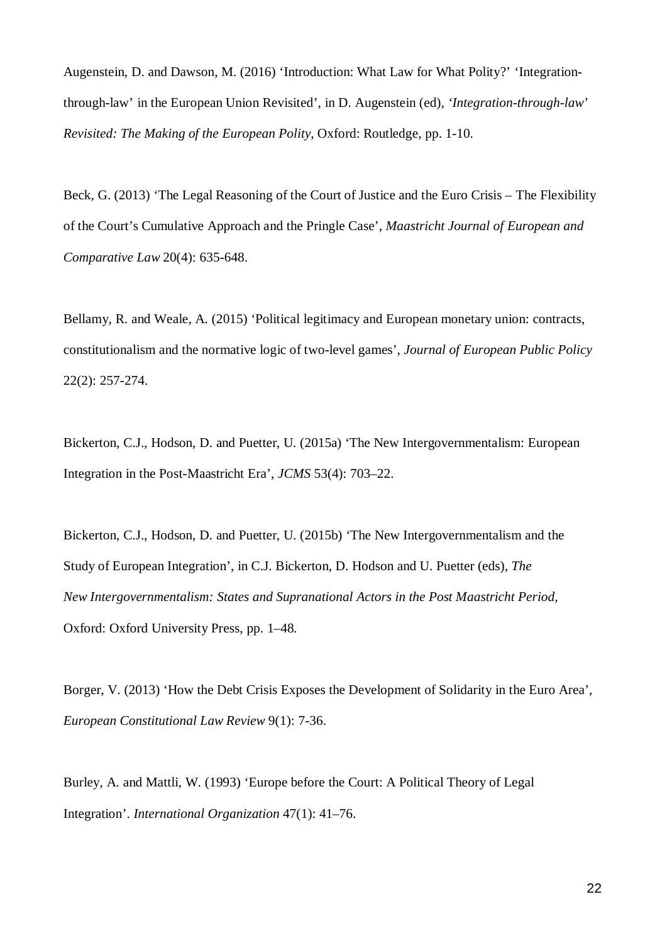Augenstein, D. and Dawson, M. (2016) 'Introduction: What Law for What Polity?' 'Integrationthrough-law' in the European Union Revisited', in D. Augenstein (ed), *'Integration-through-law' Revisited: The Making of the European Polity*, Oxford: Routledge, pp. 1-10.

Beck, G. (2013) 'The Legal Reasoning of the Court of Justice and the Euro Crisis – The Flexibility of the Court's Cumulative Approach and the Pringle Case', *Maastricht Journal of European and Comparative Law* 20(4): 635-648.

Bellamy, R. and Weale, A. (2015) 'Political legitimacy and European monetary union: contracts, constitutionalism and the normative logic of two-level games', *Journal of European Public Policy* 22(2): 257-274.

Bickerton, C.J., Hodson, D. and Puetter, U. (2015a) 'The New Intergovernmentalism: European Integration in the Post-Maastricht Era', *JCMS* 53(4): 703–22.

Bickerton, C.J., Hodson, D. and Puetter, U. (2015b) 'The New Intergovernmentalism and the Study of European Integration', in C.J. Bickerton, D. Hodson and U. Puetter (eds), *The New Intergovernmentalism: States and Supranational Actors in the Post Maastricht Period,* Oxford: Oxford University Press, pp. 1–48.

Borger, V. (2013) 'How the Debt Crisis Exposes the Development of Solidarity in the Euro Area', *European Constitutional Law Review* 9(1): 7-36.

Burley, A. and Mattli, W. (1993) 'Europe before the Court: A Political Theory of Legal Integration'. *International Organization* 47(1): 41–76.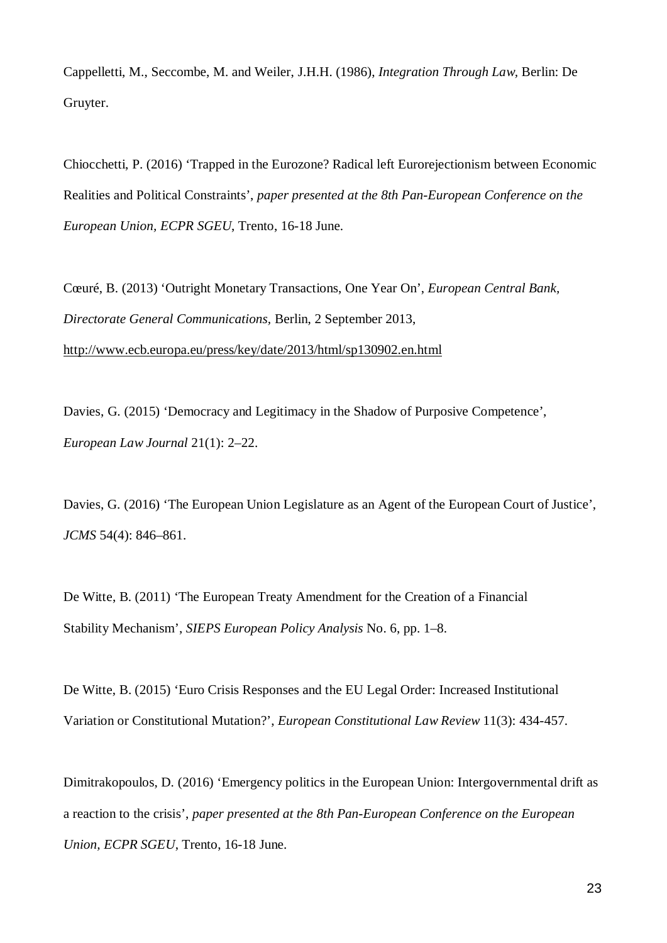Cappelletti, M., Seccombe, M. and Weiler, J.H.H. (1986), *Integration Through Law,* Berlin: De Gruyter.

Chiocchetti, P. (2016) 'Trapped in the Eurozone? Radical left Eurorejectionism between Economic Realities and Political Constraints', *paper presented at the 8th Pan-European Conference on the European Union, ECPR SGEU*, Trento, 16-18 June.

Cœuré, B. (2013) 'Outright Monetary Transactions, One Year On', *European Central Bank, Directorate General Communications,* Berlin, 2 September 2013, http://www.ecb.europa.eu/press/key/date/2013/html/sp130902.en.html

Davies, G. (2015) 'Democracy and Legitimacy in the Shadow of Purposive Competence', *European Law Journal* 21(1): 2–22.

Davies, G. (2016) 'The European Union Legislature as an Agent of the European Court of Justice', *JCMS* 54(4): 846–861.

De Witte, B. (2011) 'The European Treaty Amendment for the Creation of a Financial Stability Mechanism', *SIEPS European Policy Analysis* No. 6, pp. 1–8.

De Witte, B. (2015) 'Euro Crisis Responses and the EU Legal Order: Increased Institutional Variation or Constitutional Mutation?', *European Constitutional Law Review* 11(3): 434-457.

Dimitrakopoulos, D. (2016) 'Emergency politics in the European Union: Intergovernmental drift as a reaction to the crisis', *paper presented at the 8th Pan-European Conference on the European Union, ECPR SGEU*, Trento, 16-18 June.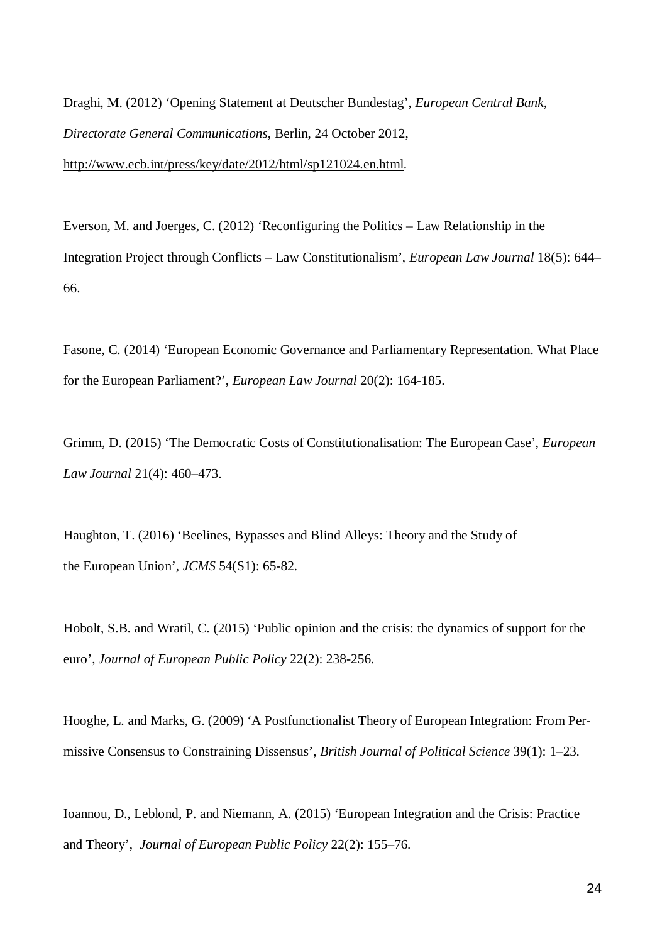Draghi, M. (2012) 'Opening Statement at Deutscher Bundestag', *European Central Bank, Directorate General Communications*, Berlin, 24 October 2012, http://www.ecb.int/press/key/date/2012/html/sp121024.en.html.

Everson, M. and Joerges, C. (2012) 'Reconfiguring the Politics – Law Relationship in the Integration Project through Conflicts – Law Constitutionalism', *European Law Journal* 18(5): 644– 66.

Fasone, C. (2014) 'European Economic Governance and Parliamentary Representation. What Place for the European Parliament?', *European Law Journal* 20(2): 164-185.

Grimm, D. (2015) 'The Democratic Costs of Constitutionalisation: The European Case', *European Law Journal* 21(4): 460–473.

Haughton, T. (2016) 'Beelines, Bypasses and Blind Alleys: Theory and the Study of the European Union', *JCMS* 54(S1): 65-82.

Hobolt, S.B. and Wratil, C. (2015) 'Public opinion and the crisis: the dynamics of support for the euro', *Journal of European Public Policy* 22(2): 238-256.

Hooghe, L. and Marks, G. (2009) 'A Postfunctionalist Theory of European Integration: From Permissive Consensus to Constraining Dissensus', *British Journal of Political Science* 39(1): 1–23.

Ioannou, D., Leblond, P. and Niemann, A. (2015) 'European Integration and the Crisis: Practice and Theory', *Journal of European Public Policy* 22(2): 155–76.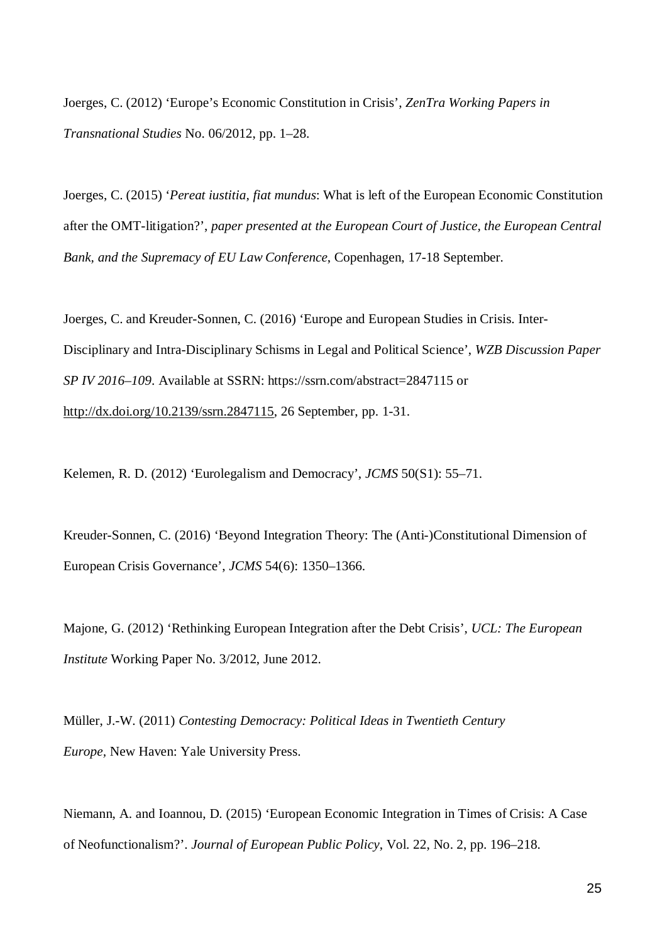Joerges, C. (2012) 'Europe's Economic Constitution in Crisis', *ZenTra Working Papers in Transnational Studies* No. 06/2012, pp. 1–28.

Joerges, C. (2015) '*Pereat iustitia, fiat mundus*: What is left of the European Economic Constitution after the OMT-litigation?', *paper presented at the European Court of Justice, the European Central Bank, and the Supremacy of EU Law Conference*, Copenhagen, 17-18 September.

Joerges, C. and Kreuder-Sonnen, C. (2016) 'Europe and European Studies in Crisis. Inter-Disciplinary and Intra-Disciplinary Schisms in Legal and Political Science', *WZB Discussion Paper SP IV 2016–109*. Available at SSRN: https://ssrn.com/abstract=2847115 or http://dx.doi.org/10.2139/ssrn.2847115, 26 September, pp. 1-31.

Kelemen, R. D. (2012) 'Eurolegalism and Democracy', *JCMS* 50(S1): 55–71.

Kreuder-Sonnen, C. (2016) 'Beyond Integration Theory: The (Anti-)Constitutional Dimension of European Crisis Governance', *JCMS* 54(6): 1350–1366.

Majone, G. (2012) 'Rethinking European Integration after the Debt Crisis', *UCL: The European Institute* Working Paper No. 3/2012, June 2012.

Müller, J.-W. (2011) *Contesting Democracy: Political Ideas in Twentieth Century Europe,* New Haven: Yale University Press.

Niemann, A. and Ioannou, D. (2015) 'European Economic Integration in Times of Crisis: A Case of Neofunctionalism?'. *Journal of European Public Policy*, Vol. 22, No. 2, pp. 196–218.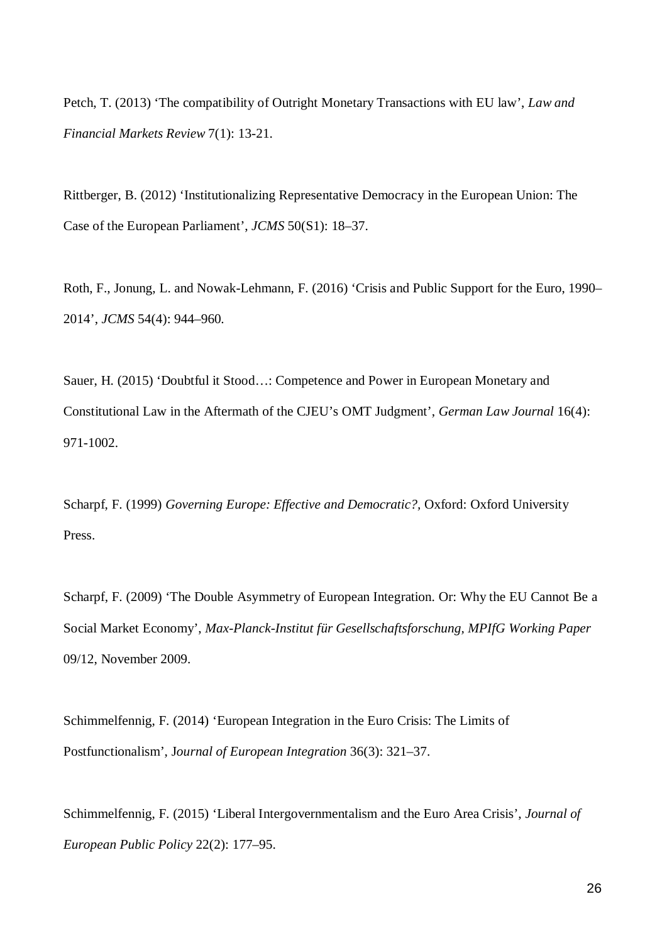Petch, T. (2013) 'The compatibility of Outright Monetary Transactions with EU law', *Law and Financial Markets Review* 7(1): 13-21.

Rittberger, B. (2012) 'Institutionalizing Representative Democracy in the European Union: The Case of the European Parliament', *JCMS* 50(S1): 18–37.

Roth, F., Jonung, L. and Nowak-Lehmann, F. (2016) 'Crisis and Public Support for the Euro, 1990– 2014', *JCMS* 54(4): 944–960.

Sauer, H. (2015) 'Doubtful it Stood…: Competence and Power in European Monetary and Constitutional Law in the Aftermath of the CJEU's OMT Judgment', *German Law Journal* 16(4): 971-1002.

Scharpf, F. (1999) *Governing Europe: Effective and Democratic?,* Oxford: Oxford University Press.

Scharpf, F. (2009) 'The Double Asymmetry of European Integration. Or: Why the EU Cannot Be a Social Market Economy', *Max-Planck-Institut für Gesellschaftsforschung, MPIfG Working Paper* 09/12, November 2009.

Schimmelfennig, F. (2014) 'European Integration in the Euro Crisis: The Limits of Postfunctionalism', J*ournal of European Integration* 36(3): 321–37.

Schimmelfennig, F. (2015) 'Liberal Intergovernmentalism and the Euro Area Crisis', *Journal of European Public Policy* 22(2): 177–95.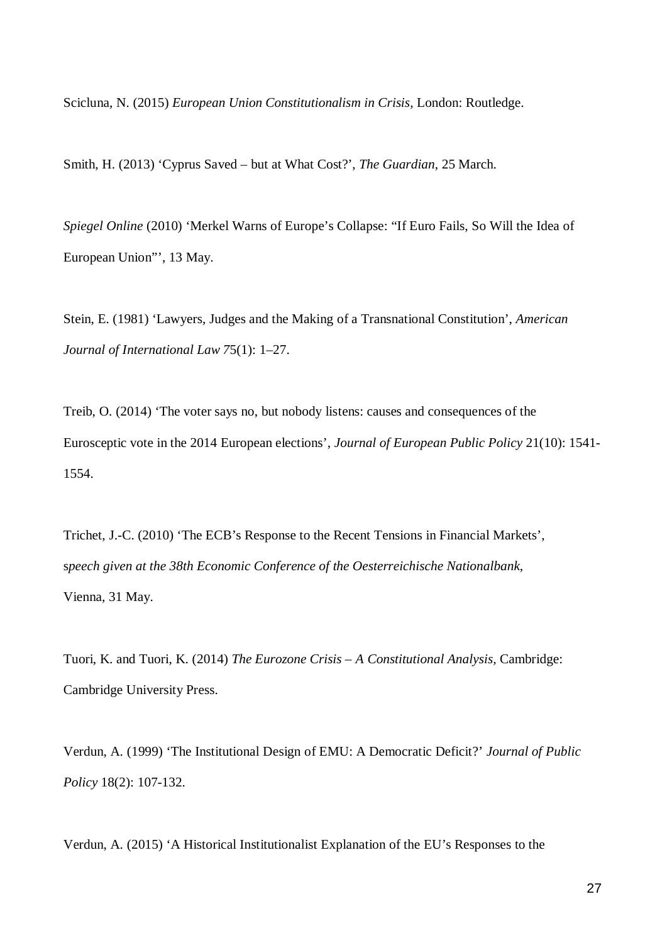Scicluna, N. (2015) *European Union Constitutionalism in Crisis,* London: Routledge.

Smith, H. (2013) 'Cyprus Saved – but at What Cost?', *The Guardian*, 25 March.

*Spiegel Online* (2010) 'Merkel Warns of Europe's Collapse: "If Euro Fails, So Will the Idea of European Union"', 13 May.

Stein, E. (1981) 'Lawyers, Judges and the Making of a Transnational Constitution', *American Journal of International Law 7*5(1): 1–27.

Treib, O. (2014) 'The voter says no, but nobody listens: causes and consequences of the Eurosceptic vote in the 2014 European elections', *Journal of European Public Policy* 21(10): 1541- 1554.

Trichet, J.-C. (2010) 'The ECB's Response to the Recent Tensions in Financial Markets', s*peech given at the 38th Economic Conference of the Oesterreichische Nationalbank*, Vienna, 31 May.

Tuori, K. and Tuori, K. (2014) *The Eurozone Crisis – A Constitutional Analysis,* Cambridge: Cambridge University Press.

Verdun, A. (1999) 'The Institutional Design of EMU: A Democratic Deficit?' *Journal of Public Policy* 18(2): 107-132.

Verdun, A. (2015) 'A Historical Institutionalist Explanation of the EU's Responses to the